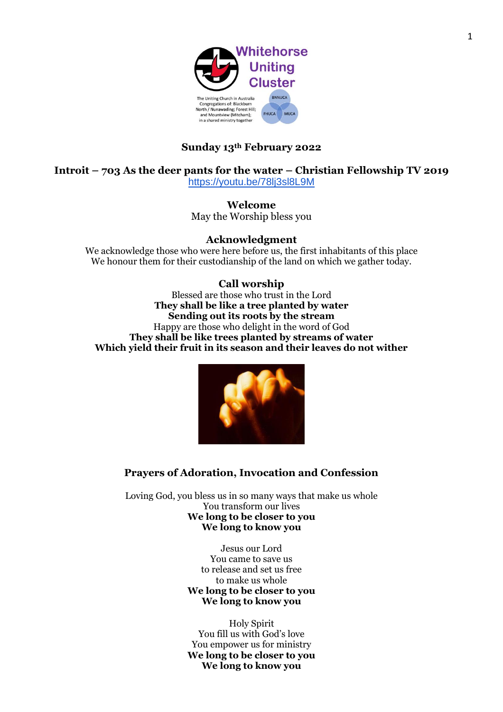

# **Sunday 13th February 2022**

**Introit – 703 As the deer pants for the water – Christian Fellowship TV 2019** <https://youtu.be/78lj3sl8L9M>

> **Welcome** May the Worship bless you

## **Acknowledgment**

We acknowledge those who were here before us, the first inhabitants of this place We honour them for their custodianship of the land on which we gather today.

## **Call worship**

Blessed are those who trust in the Lord **They shall be like a tree planted by water Sending out its roots by the stream** Happy are those who delight in the word of God **They shall be like trees planted by streams of water Which yield their fruit in its season and their leaves do not wither** 



# **Prayers of Adoration, Invocation and Confession**

Loving God, you bless us in so many ways that make us whole You transform our lives **We long to be closer to you We long to know you**

> Jesus our Lord You came to save us to release and set us free to make us whole **We long to be closer to you We long to know you**

> Holy Spirit You fill us with God's love You empower us for ministry **We long to be closer to you We long to know you**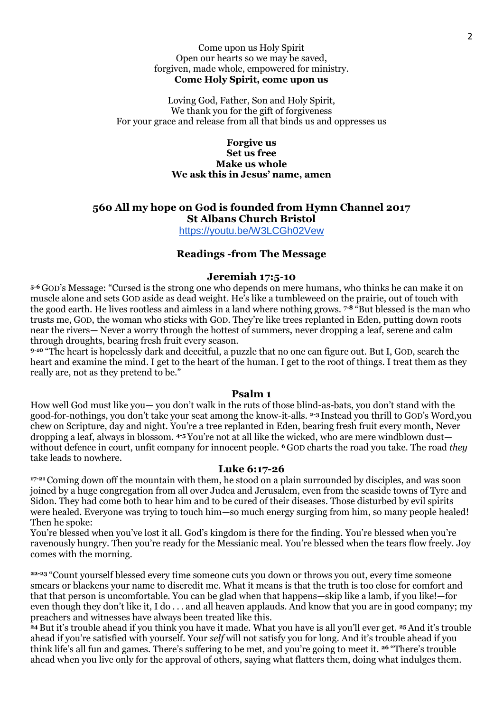#### Come upon us Holy Spirit Open our hearts so we may be saved, forgiven, made whole, empowered for ministry. **Come Holy Spirit, come upon us**

Loving God, Father, Son and Holy Spirit, We thank you for the gift of forgiveness For your grace and release from all that binds us and oppresses us

> **Forgive us Set us free Make us whole We ask this in Jesus' name, amen**

#### **560 All my hope on God is founded from Hymn Channel 2017 St Albans Church Bristol**

<https://youtu.be/W3LCGh02Vew>

### **Readings -from The Message**

#### **Jeremiah 17:5-10**

**5-6** GOD's Message: "Cursed is the strong one who depends on mere humans, who thinks he can make it on muscle alone and sets GOD aside as dead weight. He's like a tumbleweed on the prairie, out of touch with the good earth. He lives rootless and aimless in a land where nothing grows. **7-8** "But blessed is the man who trusts me, GOD, the woman who sticks with GOD. They're like trees replanted in Eden, putting down roots near the rivers— Never a worry through the hottest of summers, never dropping a leaf, serene and calm through droughts, bearing fresh fruit every season.

**9-10** "The heart is hopelessly dark and deceitful, a puzzle that no one can figure out. But I, GOD, search the heart and examine the mind. I get to the heart of the human. I get to the root of things. I treat them as they really are, not as they pretend to be."

#### **Psalm 1**

How well God must like you— you don't walk in the ruts of those blind-as-bats, you don't stand with the good-for-nothings, you don't take your seat among the know-it-alls. **2-3** Instead you thrill to GOD's Word,you chew on Scripture, day and night. You're a tree replanted in Eden, bearing fresh fruit every month, Never dropping a leaf, always in blossom. **4-5** You're not at all like the wicked, who are mere windblown dust without defence in court, unfit company for innocent people. **6** GOD charts the road you take. The road *they* take leads to nowhere.

#### **Luke 6:17-26**

**17-21**Coming down off the mountain with them, he stood on a plain surrounded by disciples, and was soon joined by a huge congregation from all over Judea and Jerusalem, even from the seaside towns of Tyre and Sidon. They had come both to hear him and to be cured of their diseases. Those disturbed by evil spirits were healed. Everyone was trying to touch him—so much energy surging from him, so many people healed! Then he spoke:

You're blessed when you've lost it all. God's kingdom is there for the finding. You're blessed when you're ravenously hungry. Then you're ready for the Messianic meal. You're blessed when the tears flow freely. Joy comes with the morning.

**22-23** "Count yourself blessed every time someone cuts you down or throws you out, every time someone smears or blackens your name to discredit me. What it means is that the truth is too close for comfort and that that person is uncomfortable. You can be glad when that happens—skip like a lamb, if you like!—for even though they don't like it, I do . . . and all heaven applauds. And know that you are in good company; my preachers and witnesses have always been treated like this.

**<sup>24</sup>** But it's trouble ahead if you think you have it made. What you have is all you'll ever get. **<sup>25</sup>**And it's trouble ahead if you're satisfied with yourself. Your *self* will not satisfy you for long. And it's trouble ahead if you think life's all fun and games. There's suffering to be met, and you're going to meet it. **<sup>26</sup>** "There's trouble ahead when you live only for the approval of others, saying what flatters them, doing what indulges them.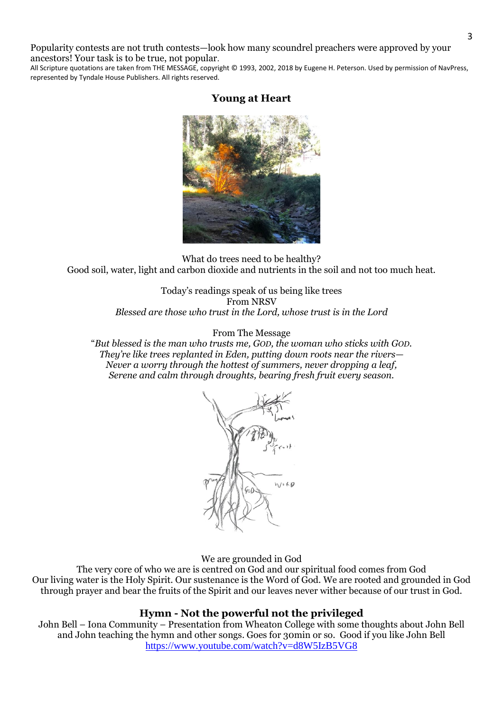Popularity contests are not truth contests—look how many scoundrel preachers were approved by your ancestors! Your task is to be true, not popular.

All Scripture quotations are taken from THE MESSAGE, copyright © 1993, 2002, 2018 by Eugene H. Peterson. Used by permission of NavPress, represented by Tyndale House Publishers. All rights reserved.



## **Young at Heart**

What do trees need to be healthy? Good soil, water, light and carbon dioxide and nutrients in the soil and not too much heat.

> Today's readings speak of us being like trees From NRSV *Blessed are those who trust in the Lord, whose trust is in the Lord*

> > From The Message

"*But blessed is the man who trusts me, GOD, the woman who sticks with GOD. They're like trees replanted in Eden, putting down roots near the rivers— Never a worry through the hottest of summers, never dropping a leaf, Serene and calm through droughts, bearing fresh fruit every season.*



We are grounded in God

The very core of who we are is centred on God and our spiritual food comes from God Our living water is the Holy Spirit. Our sustenance is the Word of God. We are rooted and grounded in God through prayer and bear the fruits of the Spirit and our leaves never wither because of our trust in God.

## **Hymn - Not the powerful not the privileged**

John Bell – Iona Community – Presentation from Wheaton College with some thoughts about John Bell and John teaching the hymn and other songs. Goes for 30min or so. Good if you like John Bell <https://www.youtube.com/watch?v=d8W5IzB5VG8>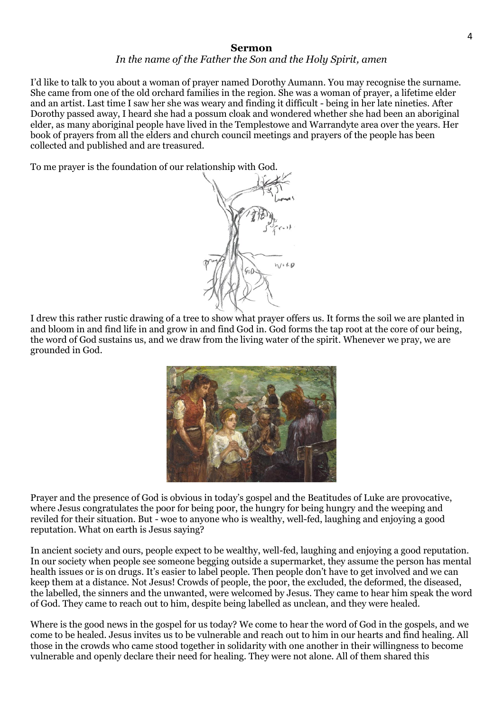#### **Sermon**

### *In the name of the Father the Son and the Holy Spirit, amen*

I'd like to talk to you about a woman of prayer named Dorothy Aumann. You may recognise the surname. She came from one of the old orchard families in the region. She was a woman of prayer, a lifetime elder and an artist. Last time I saw her she was weary and finding it difficult - being in her late nineties. After Dorothy passed away, I heard she had a possum cloak and wondered whether she had been an aboriginal elder, as many aboriginal people have lived in the Templestowe and Warrandyte area over the years. Her book of prayers from all the elders and church council meetings and prayers of the people has been collected and published and are treasured.

To me prayer is the foundation of our relationship with God.



I drew this rather rustic drawing of a tree to show what prayer offers us. It forms the soil we are planted in and bloom in and find life in and grow in and find God in. God forms the tap root at the core of our being, the word of God sustains us, and we draw from the living water of the spirit. Whenever we pray, we are grounded in God.



Prayer and the presence of God is obvious in today's gospel and the Beatitudes of Luke are provocative, where Jesus congratulates the poor for being poor, the hungry for being hungry and the weeping and reviled for their situation. But - woe to anyone who is wealthy, well-fed, laughing and enjoying a good reputation. What on earth is Jesus saying?

In ancient society and ours, people expect to be wealthy, well-fed, laughing and enjoying a good reputation. In our society when people see someone begging outside a supermarket, they assume the person has mental health issues or is on drugs. It's easier to label people. Then people don't have to get involved and we can keep them at a distance. Not Jesus! Crowds of people, the poor, the excluded, the deformed, the diseased, the labelled, the sinners and the unwanted, were welcomed by Jesus. They came to hear him speak the word of God. They came to reach out to him, despite being labelled as unclean, and they were healed.

Where is the good news in the gospel for us today? We come to hear the word of God in the gospels, and we come to be healed. Jesus invites us to be vulnerable and reach out to him in our hearts and find healing. All those in the crowds who came stood together in solidarity with one another in their willingness to become vulnerable and openly declare their need for healing. They were not alone. All of them shared this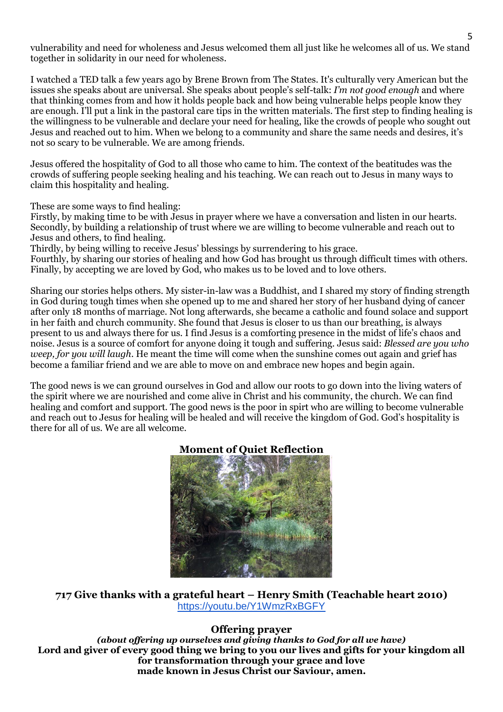vulnerability and need for wholeness and Jesus welcomed them all just like he welcomes all of us. We stand together in solidarity in our need for wholeness.

I watched a TED talk a few years ago by Brene Brown from The States. It's culturally very American but the issues she speaks about are universal. She speaks about people's self-talk: *I'm not good enough* and where that thinking comes from and how it holds people back and how being vulnerable helps people know they are enough. I'll put a link in the pastoral care tips in the written materials. The first step to finding healing is the willingness to be vulnerable and declare your need for healing, like the crowds of people who sought out Jesus and reached out to him. When we belong to a community and share the same needs and desires, it's not so scary to be vulnerable. We are among friends.

Jesus offered the hospitality of God to all those who came to him. The context of the beatitudes was the crowds of suffering people seeking healing and his teaching. We can reach out to Jesus in many ways to claim this hospitality and healing.

These are some ways to find healing:

Firstly, by making time to be with Jesus in prayer where we have a conversation and listen in our hearts. Secondly, by building a relationship of trust where we are willing to become vulnerable and reach out to Jesus and others, to find healing.

Thirdly, by being willing to receive Jesus' blessings by surrendering to his grace.

Fourthly, by sharing our stories of healing and how God has brought us through difficult times with others. Finally, by accepting we are loved by God, who makes us to be loved and to love others.

Sharing our stories helps others. My sister-in-law was a Buddhist, and I shared my story of finding strength in God during tough times when she opened up to me and shared her story of her husband dying of cancer after only 18 months of marriage. Not long afterwards, she became a catholic and found solace and support in her faith and church community. She found that Jesus is closer to us than our breathing, is always present to us and always there for us. I find Jesus is a comforting presence in the midst of life's chaos and noise. Jesus is a source of comfort for anyone doing it tough and suffering. Jesus said: *Blessed are you who weep, for you will laugh*. He meant the time will come when the sunshine comes out again and grief has become a familiar friend and we are able to move on and embrace new hopes and begin again.

The good news is we can ground ourselves in God and allow our roots to go down into the living waters of the spirit where we are nourished and come alive in Christ and his community, the church. We can find healing and comfort and support. The good news is the poor in spirt who are willing to become vulnerable and reach out to Jesus for healing will be healed and will receive the kingdom of God. God's hospitality is there for all of us. We are all welcome.

### **Moment of Quiet Reflection**



**717 Give thanks with a grateful heart – Henry Smith (Teachable heart 2010)** <https://youtu.be/Y1WmzRxBGFY>

### **Offering prayer**

*(about offering up ourselves and giving thanks to God for all we have)* **Lord and giver of every good thing we bring to you our lives and gifts for your kingdom all for transformation through your grace and love made known in Jesus Christ our Saviour, amen.**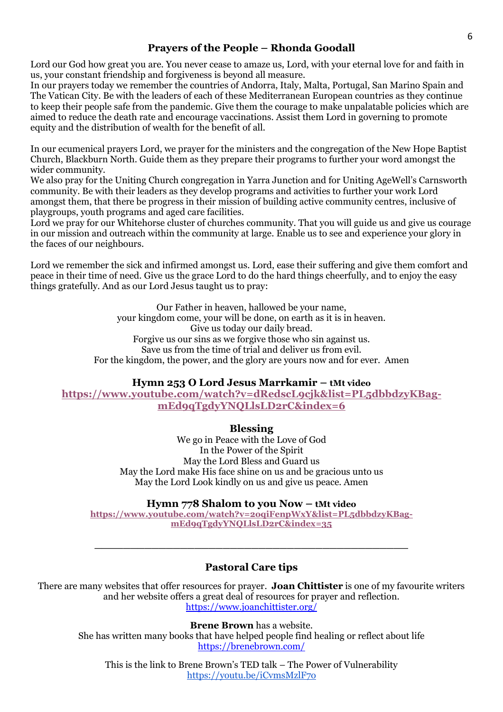## **Prayers of the People – Rhonda Goodall**

Lord our God how great you are. You never cease to amaze us, Lord, with your eternal love for and faith in us, your constant friendship and forgiveness is beyond all measure.

In our prayers today we remember the countries of Andorra, Italy, Malta, Portugal, San Marino Spain and The Vatican City. Be with the leaders of each of these Mediterranean European countries as they continue to keep their people safe from the pandemic. Give them the courage to make unpalatable policies which are aimed to reduce the death rate and encourage vaccinations. Assist them Lord in governing to promote equity and the distribution of wealth for the benefit of all.

In our ecumenical prayers Lord, we prayer for the ministers and the congregation of the New Hope Baptist Church, Blackburn North. Guide them as they prepare their programs to further your word amongst the wider community.

We also pray for the Uniting Church congregation in Yarra Junction and for Uniting AgeWell's Carnsworth community. Be with their leaders as they develop programs and activities to further your work Lord amongst them, that there be progress in their mission of building active community centres, inclusive of playgroups, youth programs and aged care facilities.

Lord we pray for our Whitehorse cluster of churches community. That you will guide us and give us courage in our mission and outreach within the community at large. Enable us to see and experience your glory in the faces of our neighbours.

Lord we remember the sick and infirmed amongst us. Lord, ease their suffering and give them comfort and peace in their time of need. Give us the grace Lord to do the hard things cheerfully, and to enjoy the easy things gratefully. And as our Lord Jesus taught us to pray:

> Our Father in heaven, hallowed be your name, your kingdom come, your will be done, on earth as it is in heaven. Give us today our daily bread. Forgive us our sins as we forgive those who sin against us. Save us from the time of trial and deliver us from evil. For the kingdom, the power, and the glory are yours now and for ever. Amen

# **Hymn 253 O Lord Jesus Marrkamir – tMt video**

**[https://www.youtube.com/watch?v=dRedscL9cjk&list=PL5dbbdzyKBag](https://www.youtube.com/watch?v=dRedscL9cjk&list=PL5dbbdzyKBag-mEd9qTgdyYNQLlsLD2rC&index=6)[mEd9qTgdyYNQLlsLD2rC&index=6](https://www.youtube.com/watch?v=dRedscL9cjk&list=PL5dbbdzyKBag-mEd9qTgdyYNQLlsLD2rC&index=6)**

## **Blessing**

We go in Peace with the Love of God In the Power of the Spirit May the Lord Bless and Guard us May the Lord make His face shine on us and be gracious unto us May the Lord Look kindly on us and give us peace. Amen

**Hymn 778 Shalom to you Now – tMt video**

**[https://www.youtube.com/watch?v=2oqiFenpWxY&list=PL5dbbdzyKBag](https://www.youtube.com/watch?v=2oqiFenpWxY&list=PL5dbbdzyKBag-mEd9qTgdyYNQLlsLD2rC&index=35)[mEd9qTgdyYNQLlsLD2rC&index=35](https://www.youtube.com/watch?v=2oqiFenpWxY&list=PL5dbbdzyKBag-mEd9qTgdyYNQLlsLD2rC&index=35)**

# **Pastoral Care tips**

**\_\_\_\_\_\_\_\_\_\_\_\_\_\_\_\_\_\_\_\_\_\_\_\_\_\_\_\_\_\_\_\_\_\_\_\_\_\_\_\_\_\_\_\_**

There are many websites that offer resources for prayer. **Joan Chittister** is one of my favourite writers and her website offers a great deal of resources for prayer and reflection. <https://www.joanchittister.org/>

**Brene Brown** has a website.

She has written many books that have helped people find healing or reflect about life <https://brenebrown.com/>

This is the link to Brene Brown's TED talk – The Power of Vulnerability <https://youtu.be/iCvmsMzlF7o>